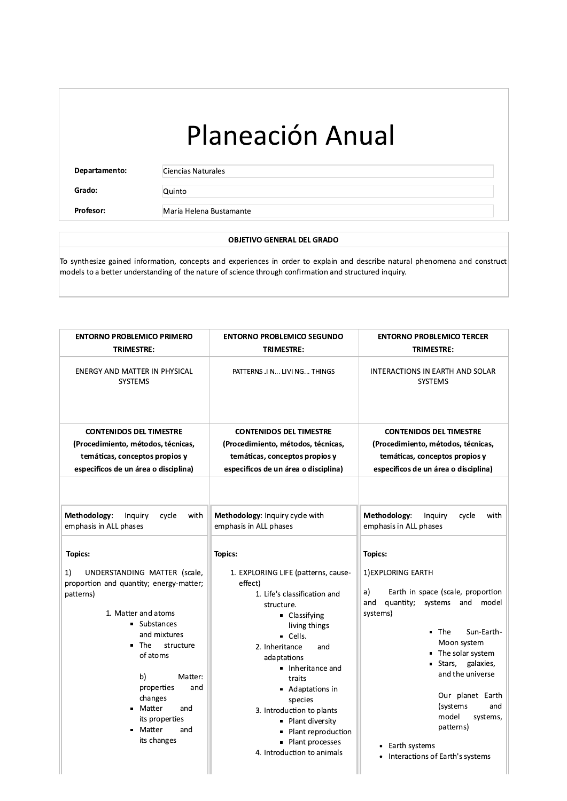Departamento:

Ciencias Naturales

Grado: Profesor: Quinto

María Helena Bustamante

### **OBJETIVO GENERAL DEL GRADO**

To synthesize gained information, concepts and experiences in order to explain and describe natural phenomena and construct models to a better understanding of the nature of science through confirmation and structured inquiry.

| <b>ENTORNO PROBLEMICO PRIMERO</b><br><b>TRIMESTRE:</b>                                                                                                                                                                                                                                                                                                                                             | <b>ENTORNO PROBLEMICO SEGUNDO</b><br><b>TRIMESTRE:</b>                                                                                                                                                                                                                                                                                                                                                | <b>ENTORNO PROBLEMICO TERCER</b><br><b>TRIMESTRE:</b>                                                                                                                                                                                                                                                                                                                                       |
|----------------------------------------------------------------------------------------------------------------------------------------------------------------------------------------------------------------------------------------------------------------------------------------------------------------------------------------------------------------------------------------------------|-------------------------------------------------------------------------------------------------------------------------------------------------------------------------------------------------------------------------------------------------------------------------------------------------------------------------------------------------------------------------------------------------------|---------------------------------------------------------------------------------------------------------------------------------------------------------------------------------------------------------------------------------------------------------------------------------------------------------------------------------------------------------------------------------------------|
| ENERGY AND MATTER IN PHYSICAL<br><b>SYSTEMS</b>                                                                                                                                                                                                                                                                                                                                                    | PATTERNS .I N LIVI NG THINGS                                                                                                                                                                                                                                                                                                                                                                          | INTERACTIONS IN EARTH AND SOLAR<br><b>SYSTEMS</b>                                                                                                                                                                                                                                                                                                                                           |
| <b>CONTENIDOS DEL TIMESTRE</b>                                                                                                                                                                                                                                                                                                                                                                     | <b>CONTENIDOS DEL TIMESTRE</b>                                                                                                                                                                                                                                                                                                                                                                        | <b>CONTENIDOS DEL TIMESTRE</b>                                                                                                                                                                                                                                                                                                                                                              |
| (Procedimiento, métodos, técnicas,<br>temáticas, conceptos propios y                                                                                                                                                                                                                                                                                                                               | (Procedimiento, métodos, técnicas,<br>temáticas, conceptos propios y                                                                                                                                                                                                                                                                                                                                  | (Procedimiento, métodos, técnicas,<br>temáticas, conceptos propios y                                                                                                                                                                                                                                                                                                                        |
| especificos de un área o disciplina)                                                                                                                                                                                                                                                                                                                                                               | especificos de un área o disciplina)                                                                                                                                                                                                                                                                                                                                                                  | especificos de un área o disciplina)                                                                                                                                                                                                                                                                                                                                                        |
| Methodology:<br>Inquiry<br>cycle<br>with<br>emphasis in ALL phases<br><b>Topics:</b><br>UNDERSTANDING MATTER (scale,<br>1)<br>proportion and quantity; energy-matter;<br>patterns)<br>1. Matter and atoms<br>Substances<br>and mixtures<br>The<br>structure<br>$\blacksquare$<br>of atoms<br>b)<br>Matter:<br>properties<br>and<br>changes<br>■ Matter<br>and<br>its properties<br>■ Matter<br>and | Methodology: Inquiry cycle with<br>emphasis in ALL phases<br><b>Topics:</b><br>1. EXPLORING LIFE (patterns, cause-<br>effect)<br>1. Life's classification and<br>structure.<br>• Classifying<br>living things<br>· Cells.<br>2. Inheritance<br>and<br>adaptations<br>Inheritance and<br>traits<br>Adaptations in<br>species<br>3. Introduction to plants<br>• Plant diversity<br>• Plant reproduction | Methodology:<br>Inquiry<br>cycle<br>with<br>emphasis in ALL phases<br><b>Topics:</b><br>1) EXPLORING EARTH<br>Earth in space (scale, proportion<br>a)<br>and<br>quantity;<br>systems and<br>model<br>systems)<br>Sun-Earth-<br>▪ The<br>Moon system<br>The solar system<br>Stars,<br>galaxies,<br>and the universe<br>Our planet Earth<br>(systems<br>and<br>model<br>systems,<br>patterns) |
| its changes                                                                                                                                                                                                                                                                                                                                                                                        | • Plant processes<br>4. Introduction to animals                                                                                                                                                                                                                                                                                                                                                       | Earth systems<br>٠<br>Interactions of Earth's systems<br>٠                                                                                                                                                                                                                                                                                                                                  |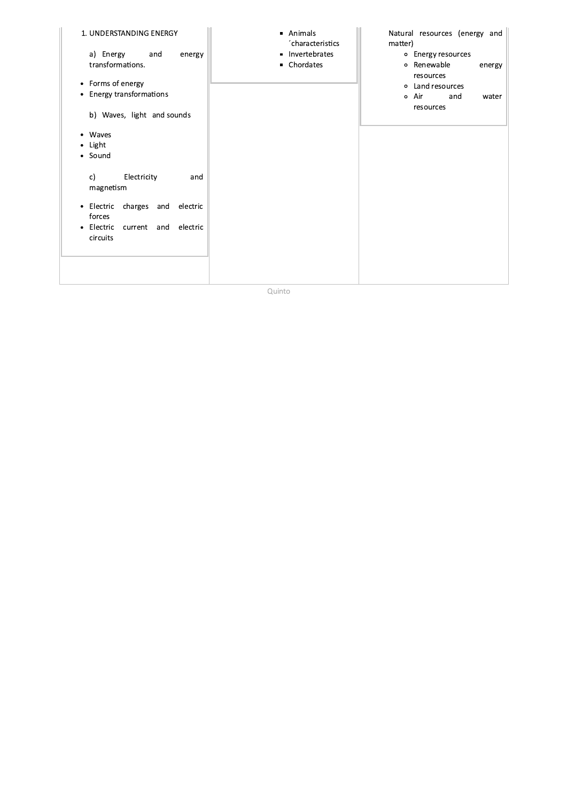| 1. UNDERSTANDING ENERGY<br>a) Energy<br>and<br>energy<br>transformations.<br>• Forms of energy                                          | • Animals<br>'characteristics<br>• Invertebrates<br>• Chordates | Natural resources (energy and<br>matter)<br>o Energy resources<br>o Renewable<br>energy<br>resources<br>o Land resources |
|-----------------------------------------------------------------------------------------------------------------------------------------|-----------------------------------------------------------------|--------------------------------------------------------------------------------------------------------------------------|
| • Energy transformations<br>b) Waves, light and sounds<br>Waves<br>Light<br>$\bullet$<br>• Sound                                        |                                                                 | o Air<br>and<br>water<br>resources                                                                                       |
| Electricity<br>c)<br>and<br>magnetism<br>• Electric charges and electric<br>forces<br>current and electric<br>Electric<br>٠<br>circuits |                                                                 |                                                                                                                          |
|                                                                                                                                         |                                                                 |                                                                                                                          |

Quinto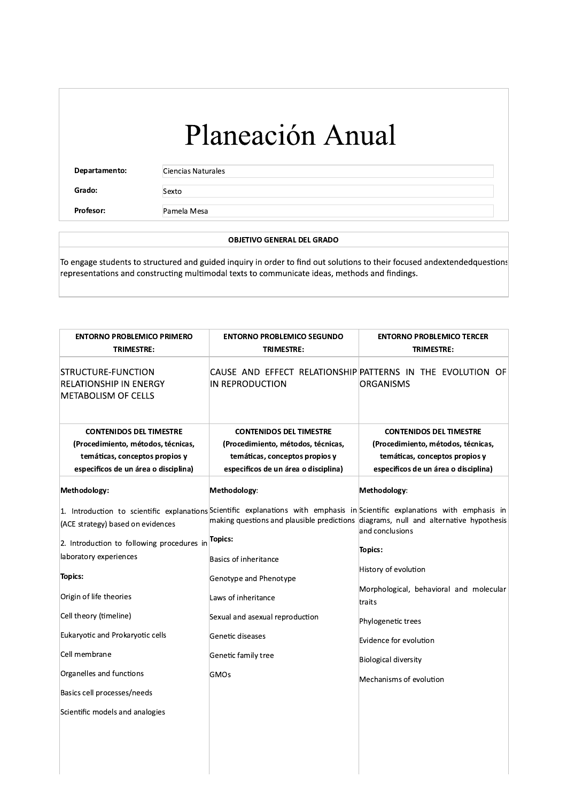Departamento:

Ciencias Naturales

Grado: Profesor:

Pamela Mesa

Sexto

### **OBJETIVO GENERAL DEL GRADO**

To engage students to structured and guided inquiry in order to find out solutions to their focused andextendedquestions representations and constructing multimodal texts to communicate ideas, methods and findings.

| <b>ENTORNO PROBLEMICO PRIMERO</b><br>TRIMESTRE:                                                                                                | <b>ENTORNO PROBLEMICO SEGUNDO</b><br>TRIMESTRE:                                                                                                | <b>ENTORNO PROBLEMICO TERCER</b><br><b>TRIMESTRE:</b>                                                                                                                                                                                   |
|------------------------------------------------------------------------------------------------------------------------------------------------|------------------------------------------------------------------------------------------------------------------------------------------------|-----------------------------------------------------------------------------------------------------------------------------------------------------------------------------------------------------------------------------------------|
| STRUCTURE-FUNCTION<br><b>RELATIONSHIP IN ENERGY</b><br><b>METABOLISM OF CELLS</b>                                                              | CAUSE AND EFFECT RELATIONSHIP PATTERNS IN THE EVOLUTION OF<br>IN REPRODUCTION                                                                  | ORGANISMS                                                                                                                                                                                                                               |
| <b>CONTENIDOS DEL TIMESTRE</b><br>(Procedimiento, métodos, técnicas,<br>temáticas, conceptos propios y<br>especificos de un área o disciplina) | <b>CONTENIDOS DEL TIMESTRE</b><br>(Procedimiento, métodos, técnicas,<br>temáticas, conceptos propios y<br>especificos de un área o disciplina) | <b>CONTENIDOS DEL TIMESTRE</b><br>(Procedimiento, métodos, técnicas,<br>temáticas, conceptos propios y<br>especificos de un área o disciplina)                                                                                          |
| Methodology:                                                                                                                                   | Methodology:                                                                                                                                   | Methodology:                                                                                                                                                                                                                            |
| (ACE strategy) based on evidences                                                                                                              |                                                                                                                                                | 1. Introduction to scientific explanations Scientific explanations with emphasis in Scientific explanations with emphasis in<br>making questions and plausible predictions diagrams, null and alternative hypothesis<br>and conclusions |
| 2. Introduction to following procedures in Topics:<br>laboratory experiences                                                                   | Basics of inheritance                                                                                                                          | <b>Topics:</b>                                                                                                                                                                                                                          |
| <b>Topics:</b><br>Origin of life theories                                                                                                      | Genotype and Phenotype<br>Laws of inheritance                                                                                                  | History of evolution<br>Morphological, behavioral and molecular                                                                                                                                                                         |
| Cell theory (timeline)                                                                                                                         | Sexual and asexual reproduction                                                                                                                | traits<br>Phylogenetic trees                                                                                                                                                                                                            |
| Eukaryotic and Prokaryotic cells                                                                                                               | Genetic diseases                                                                                                                               | Evidence for evolution                                                                                                                                                                                                                  |
| Cell membrane                                                                                                                                  | Genetic family tree                                                                                                                            | <b>Biological diversity</b>                                                                                                                                                                                                             |
| Organelles and functions                                                                                                                       | <b>GMOs</b>                                                                                                                                    | Mechanisms of evolution                                                                                                                                                                                                                 |
| Basics cell processes/needs                                                                                                                    |                                                                                                                                                |                                                                                                                                                                                                                                         |
| Scientific models and analogies                                                                                                                |                                                                                                                                                |                                                                                                                                                                                                                                         |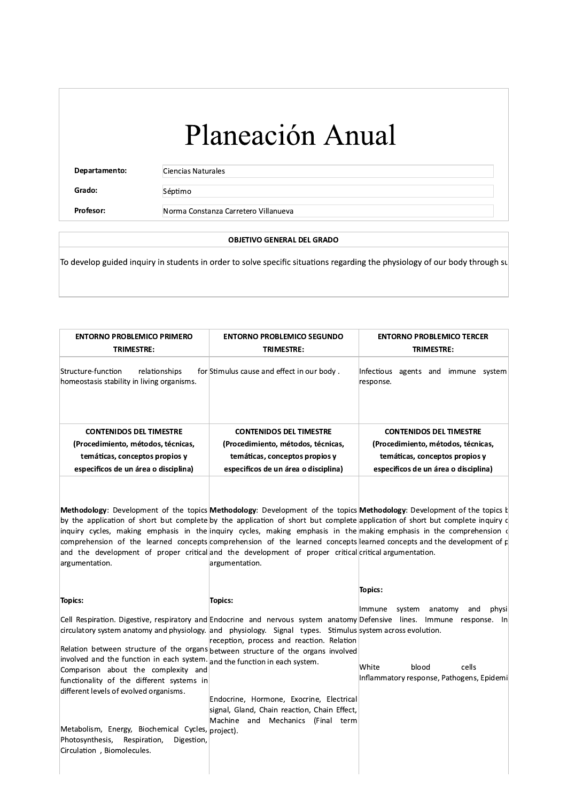# Planeacion Anual **Planeau Ciencias Naturales<br>
Grado:**<br> **Explority Ciencias Naturales**<br> **Explority Ciencias Naturales**<br> **Explority Séptimo**<br> **Explority COBJETIVO GENERAL**<br> **Explority COBJETIVO GENERAL**<br> **Explority Displority in students in**

 $\overline{\phantom{a}}$ 

Departamento: Ciencias Naturales

### OBJETIVO GENERAL DEL GRADO

| Grado:                                                                                                       |               |                                                                                                                                                                                                                                                                                                                                                                                                                                                                                                                                                                                                                                                        |                                                                        |
|--------------------------------------------------------------------------------------------------------------|---------------|--------------------------------------------------------------------------------------------------------------------------------------------------------------------------------------------------------------------------------------------------------------------------------------------------------------------------------------------------------------------------------------------------------------------------------------------------------------------------------------------------------------------------------------------------------------------------------------------------------------------------------------------------------|------------------------------------------------------------------------|
|                                                                                                              | Séptimo       |                                                                                                                                                                                                                                                                                                                                                                                                                                                                                                                                                                                                                                                        |                                                                        |
| <b>Profesor:</b>                                                                                             |               | Norma Constanza Carretero Villanueva                                                                                                                                                                                                                                                                                                                                                                                                                                                                                                                                                                                                                   |                                                                        |
|                                                                                                              |               | <b>OBJETIVO GENERAL DEL GRADO</b>                                                                                                                                                                                                                                                                                                                                                                                                                                                                                                                                                                                                                      |                                                                        |
|                                                                                                              |               | To develop guided inquiry in students in order to solve specific situations regarding the physiology of our body through su                                                                                                                                                                                                                                                                                                                                                                                                                                                                                                                            |                                                                        |
| <b>ENTORNO PROBLEMICO PRIMERO</b><br><b>TRIMESTRE:</b>                                                       |               | <b>ENTORNO PROBLEMICO SEGUNDO</b><br>TRIMESTRE:                                                                                                                                                                                                                                                                                                                                                                                                                                                                                                                                                                                                        | <b>ENTORNO PROBLEMICO TERCER</b><br>TRIMESTRE:                         |
| Structure-function<br>homeostasis stability in living organisms.                                             | relationships | for Stimulus cause and effect in our body.                                                                                                                                                                                                                                                                                                                                                                                                                                                                                                                                                                                                             | Infectious agents and immune system<br>response.                       |
| <b>CONTENIDOS DEL TIMESTRE</b>                                                                               |               | <b>CONTENIDOS DEL TIMESTRE</b><br>(Procedimiento, métodos, técnicas,                                                                                                                                                                                                                                                                                                                                                                                                                                                                                                                                                                                   | <b>CONTENIDOS DEL TIMESTRE</b><br>(Procedimiento, métodos, técnicas,   |
| (Procedimiento, métodos, técnicas,<br>temáticas, conceptos propios y<br>especificos de un área o disciplina) |               | temáticas, conceptos propios y<br>especificos de un área o disciplina)                                                                                                                                                                                                                                                                                                                                                                                                                                                                                                                                                                                 | temáticas, conceptos propios y<br>especificos de un área o disciplina) |
| argumentation.                                                                                               |               | Methodology: Development of the topics Methodology: Development of the topics Methodology: Development of the topics I<br>by the application of short but complete by the application of short but complete application of short but complete inquiry of<br>inquiry cycles, making emphasis in the inquiry cycles, making emphasis in the making emphasis in the comprehension $\sqrt{ }$<br>comprehension of the learned concepts comprehension of the learned concepts learned concepts and the development of $\epsilon$<br>and the development of proper critical and the development of proper critical critical argumentation.<br>argumentation. |                                                                        |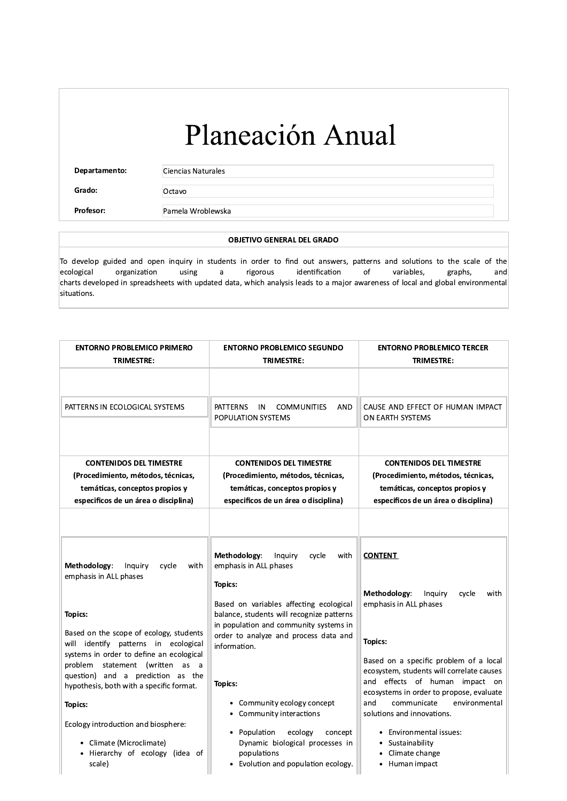$\overline{\phantom{a}}$ 

Departamento: Ciencias Naturales

Grado: Octavo

### OBJETIVO GENERAL DEL GRADO

**PEREFERENCE SERVIERED SERVIERED SERVIERED SERVIERED SERVIERED SERVIERED SERVIERED SERVIERED SERVIERED SERVIERED SERVIERED SERVIERED SERVIERED SERVIERED SERVIERED SERVIERED SERVIERED SERVIERED SERVIERED SERVIERED SERVIERED** To develop guided and open inquiry in students in order to find out answers, patterns and solutions to the scale of the  $e$  ecological organization using a rigorous identification of variables, graphs, and ecological organization using a rigorous identification of variables, graphs, and charts developed in spreadsheets with updated data, which analysis leads to a major awareness of local and global environmental situations.

| <b>ENTORNO PROBLEMICO PRIMERO</b>                                                                                                                                       | <b>ENTORNO PROBLEMICO SEGUNDO</b>                                                                                                                                                                  | <b>ENTORNO PROBLEMICO TERCER</b>                                                                                                                                                                         |
|-------------------------------------------------------------------------------------------------------------------------------------------------------------------------|----------------------------------------------------------------------------------------------------------------------------------------------------------------------------------------------------|----------------------------------------------------------------------------------------------------------------------------------------------------------------------------------------------------------|
| TRIMESTRE:                                                                                                                                                              | TRIMESTRE:                                                                                                                                                                                         | TRIMESTRE:                                                                                                                                                                                               |
| PATTERNS IN ECOLOGICAL SYSTEMS                                                                                                                                          | <b>PATTERNS</b><br><b>COMMUNITIES</b><br>IN<br>AND<br>POPULATION SYSTEMS                                                                                                                           | CAUSE AND EFFECT OF HUMAN IMPACT<br>ON EARTH SYSTEMS                                                                                                                                                     |
| <b>CONTENIDOS DEL TIMESTRE</b><br>(Procedimiento, métodos, técnicas,<br>temáticas, conceptos propios y<br>especificos de un área o disciplina)                          | <b>CONTENIDOS DEL TIMESTRE</b><br>(Procedimiento, métodos, técnicas,<br>temáticas, conceptos propios y<br>especificos de un área o disciplina)                                                     | <b>CONTENIDOS DEL TIMESTRE</b><br>(Procedimiento, métodos, técnicas,<br>temáticas, conceptos propios y<br>especificos de un área o disciplina)                                                           |
| Methodology:<br>Inquiry<br>cycle<br>with<br>emphasis in ALL phases                                                                                                      | Methodology:<br>Inquiry<br>cycle<br>with<br>emphasis in ALL phases                                                                                                                                 | <b>CONTENT</b>                                                                                                                                                                                           |
| Topics:<br>Based on the scope of ecology, students<br>will identify patterns in ecological                                                                              | Topics:<br>Based on variables affecting ecological<br>balance, students will recognize patterns<br>in population and community systems in<br>order to analyze and process data and<br>information. | Methodology:<br>cycle<br>Inquiry<br>with<br>emphasis in ALL phases<br><b>Topics:</b>                                                                                                                     |
| systems in order to define an ecological<br>problem statement (written as a<br>question) and a prediction as the<br>hypothesis, both with a specific format.<br>Topics: | <b>Topics:</b><br>• Community ecology concept                                                                                                                                                      | Based on a specific problem of a local<br>ecosystem, students will correlate causes<br>and effects of human impact on<br>ecosystems in order to propose, evaluate<br>communicate<br>environmental<br>and |
| Ecology introduction and biosphere:<br>• Climate (Microclimate)<br>• Hierarchy of ecology (idea of<br>scale)                                                            | • Community interactions<br>• Population<br>ecology<br>concept<br>Dynamic biological processes in<br>populations<br>• Evolution and population ecology.                                            | solutions and innovations.<br>• Environmental issues:<br>• Sustainability<br>• Climate change<br>• Human impact                                                                                          |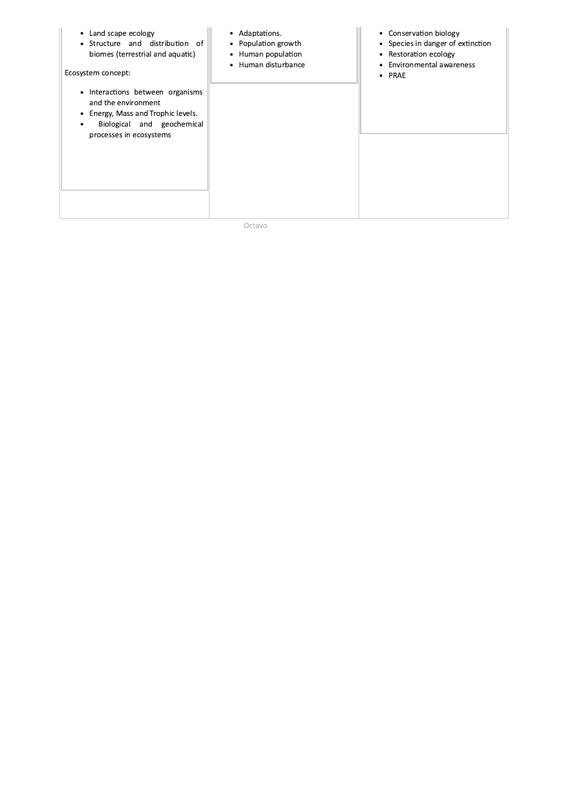| Land scape ecology<br>$\bullet$<br>• Structure and distribution of<br>biomes (terrestrial and aquatic)<br>Ecosystem concept:                                                      | • Adaptations.<br>• Population growth<br>• Human population<br>Human disturbance<br>$\bullet$ | • Conservation biology<br>• Species in danger of extinction<br>Restoration ecology<br>$\bullet$<br>Environmental awareness<br>$\bullet$ PRAE |
|-----------------------------------------------------------------------------------------------------------------------------------------------------------------------------------|-----------------------------------------------------------------------------------------------|----------------------------------------------------------------------------------------------------------------------------------------------|
| Interactions between organisms<br>$\bullet$<br>and the environment<br>Energy, Mass and Trophic levels.<br>٠<br>Biological and geochemical<br>$\bullet$<br>processes in ecosystems |                                                                                               |                                                                                                                                              |
|                                                                                                                                                                                   |                                                                                               |                                                                                                                                              |

Octavo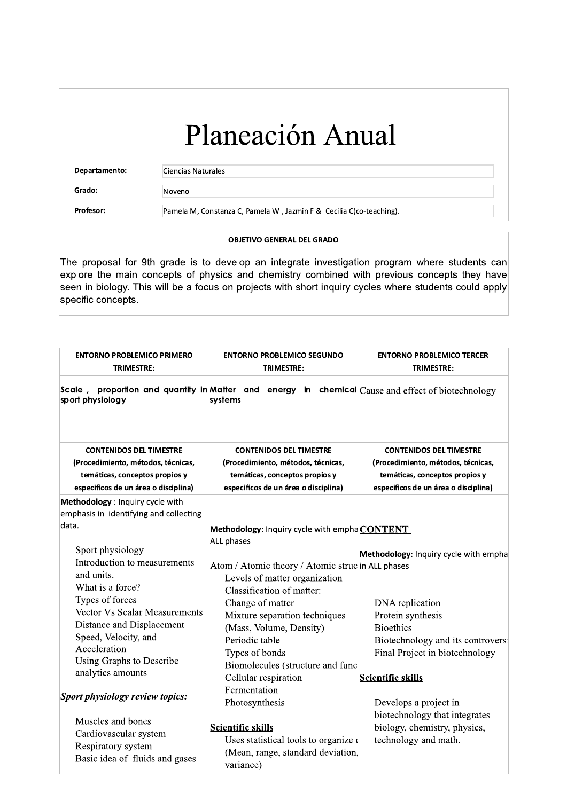Departamento:

Ciencias Naturales

Grado: Profesor: Noveno

Pamela M, Constanza C, Pamela W, Jazmin F & Cecilia C(co-teaching).

### **OBJETIVO GENERAL DEL GRADO**

The proposal for 9th grade is to develop an integrate investigation program where students can explore the main concepts of physics and chemistry combined with previous concepts they have seen in biology. This will be a focus on projects with short inquiry cycles where students could apply specific concepts.

| <b>ENTORNO PROBLEMICO PRIMERO</b><br><b>TRIMESTRE:</b>                                                                                                                                                                                                                                          | <b>ENTORNO PROBLEMICO SEGUNDO</b><br>TRIMESTRE:                                                                                                                                                                                                                                                                                                       | <b>ENTORNO PROBLEMICO TERCER</b><br>TRIMESTRE:                                                                                                                                                                                |
|-------------------------------------------------------------------------------------------------------------------------------------------------------------------------------------------------------------------------------------------------------------------------------------------------|-------------------------------------------------------------------------------------------------------------------------------------------------------------------------------------------------------------------------------------------------------------------------------------------------------------------------------------------------------|-------------------------------------------------------------------------------------------------------------------------------------------------------------------------------------------------------------------------------|
| sport physiology                                                                                                                                                                                                                                                                                | Scale, proportion and quantity in Matter and energy in chemical $\text{Cause}$ and effect of biotechnology<br>systems                                                                                                                                                                                                                                 |                                                                                                                                                                                                                               |
| <b>CONTENIDOS DEL TIMESTRE</b><br>(Procedimiento, métodos, técnicas,<br>temáticas, conceptos propios y<br>especificos de un área o disciplina)                                                                                                                                                  | <b>CONTENIDOS DEL TIMESTRE</b><br>(Procedimiento, métodos, técnicas,<br>temáticas, conceptos propios y<br>especificos de un área o disciplina)                                                                                                                                                                                                        | <b>CONTENIDOS DEL TIMESTRE</b><br>(Procedimiento, métodos, técnicas,<br>temáticas, conceptos propios y<br>especificos de un área o disciplina)                                                                                |
| Methodology : Inquiry cycle with<br>emphasis in identifying and collecting<br>data.                                                                                                                                                                                                             | Methodology: Inquiry cycle with emphaCONTENT                                                                                                                                                                                                                                                                                                          |                                                                                                                                                                                                                               |
| Sport physiology<br>Introduction to measurements<br>and units.<br>What is a force?<br>Types of forces<br>Vector Vs Scalar Measurements<br>Distance and Displacement<br>Speed, Velocity, and<br>Acceleration<br>Using Graphs to Describe<br>analytics amounts<br>Sport physiology review topics: | <b>ALL phases</b><br>Atom / Atomic theory / Atomic strucin ALL phases<br>Levels of matter organization<br>Classification of matter:<br>Change of matter<br>Mixture separation techniques<br>(Mass, Volume, Density)<br>Periodic table<br>Types of bonds<br>Biomolecules (structure and func<br>Cellular respiration<br>Fermentation<br>Photosynthesis | Methodology: Inquiry cycle with empha<br>DNA replication<br>Protein synthesis<br><b>Bioethics</b><br>Biotechnology and its controvers:<br>Final Project in biotechnology<br><b>Scientific skills</b><br>Develops a project in |
| Muscles and bones<br>Cardiovascular system<br>Respiratory system<br>Basic idea of fluids and gases                                                                                                                                                                                              | <b>Scientific skills</b><br>Uses statistical tools to organize of<br>(Mean, range, standard deviation,<br>variance)                                                                                                                                                                                                                                   | biotechnology that integrates<br>biology, chemistry, physics,<br>technology and math.                                                                                                                                         |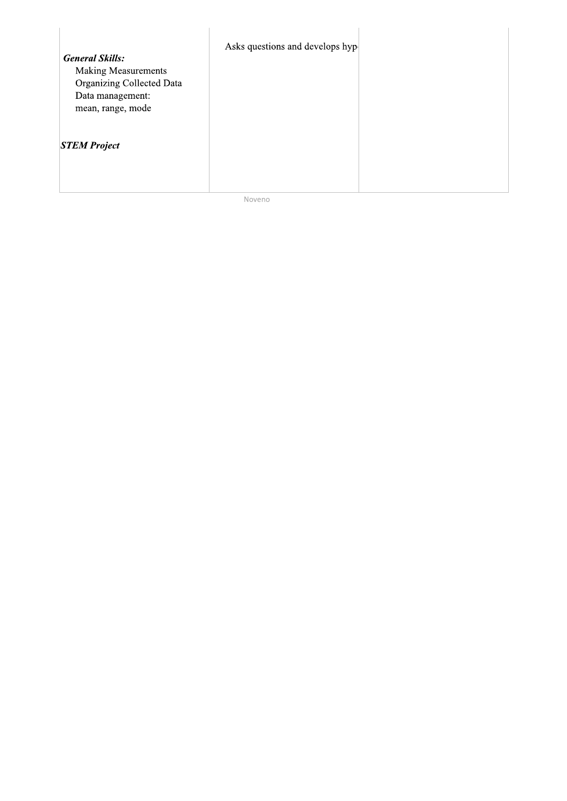| <b>General Skills:</b><br><b>Making Measurements</b><br><b>Organizing Collected Data</b><br>Data management:<br>mean, range, mode | Asks questions and develops hyp |  |
|-----------------------------------------------------------------------------------------------------------------------------------|---------------------------------|--|
| <b>STEM Project</b>                                                                                                               |                                 |  |

Noveno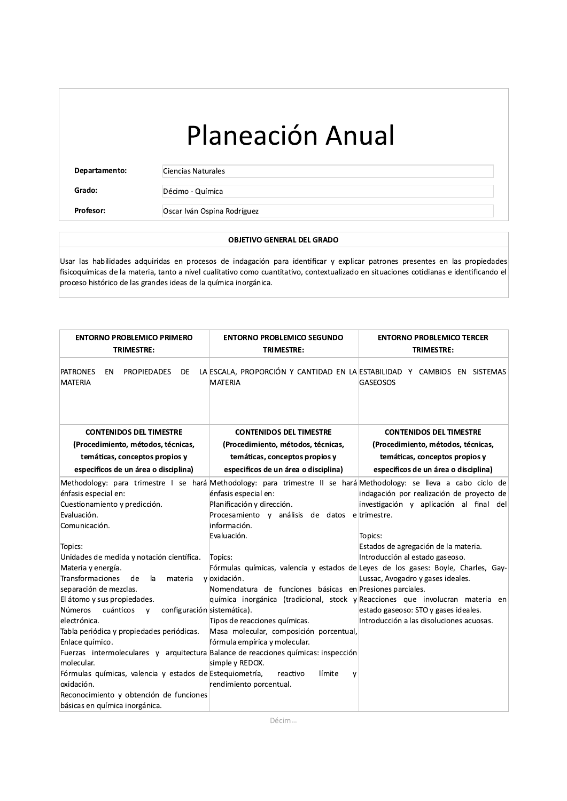$\overline{\phantom{a}}$ 

**Departamento:** Ciencias Naturales

Grado: Décimo - Química

#### OBJETIVO GENERAL DEL GRADO

**Expartamento:**<br>
Ciencias Naturales<br>
Grado: Décimo - Química<br>
Profesor: Oscar Iván Ospina Rodríguez<br>
Profesor: Oscar Iván Ospina Rodríguez<br>
OBJETIVO GENE<br>
Las habilidades adquiridas en procesos de indagación pa<br>
Dequímicas Usar las habilidades adquiridas en procesos de indagación para identificar y explicar patrones presentes en las propiedades fisicoquímicas de la materia, tanto a nivel cualitativo como cuantitativo, contextualizado en situaciones cotidianas e identificando el proceso histórico de las grandes ideas de la química inorgánica.

| <b>ENTORNO PROBLEMICO PRIMERO</b>                                                                                                                                                                                                                                                                                                                                                                                                                                                                                                                                                                                                                                                                                                                                                                                | <b>ENTORNO PROBLEMICO SEGUNDO</b>                                                                                                                                                                                                                                                                                                                                                                                                                                                                                                                                                                 | <b>ENTORNO PROBLEMICO TERCER</b>                                                                                                                                                                                                                                                                    |
|------------------------------------------------------------------------------------------------------------------------------------------------------------------------------------------------------------------------------------------------------------------------------------------------------------------------------------------------------------------------------------------------------------------------------------------------------------------------------------------------------------------------------------------------------------------------------------------------------------------------------------------------------------------------------------------------------------------------------------------------------------------------------------------------------------------|---------------------------------------------------------------------------------------------------------------------------------------------------------------------------------------------------------------------------------------------------------------------------------------------------------------------------------------------------------------------------------------------------------------------------------------------------------------------------------------------------------------------------------------------------------------------------------------------------|-----------------------------------------------------------------------------------------------------------------------------------------------------------------------------------------------------------------------------------------------------------------------------------------------------|
| <b>TRIMESTRE:</b>                                                                                                                                                                                                                                                                                                                                                                                                                                                                                                                                                                                                                                                                                                                                                                                                | <b>TRIMESTRE:</b>                                                                                                                                                                                                                                                                                                                                                                                                                                                                                                                                                                                 | <b>TRIMESTRE:</b>                                                                                                                                                                                                                                                                                   |
| <b>PATRONES</b><br>EN<br><b>MATERIA</b>                                                                                                                                                                                                                                                                                                                                                                                                                                                                                                                                                                                                                                                                                                                                                                          | PROPIEDADES DE LA ESCALA, PROPORCIÓN Y CANTIDAD EN LA ESTABILIDAD Y CAMBIOS EN SISTEMAS<br><b>MATERIA</b>                                                                                                                                                                                                                                                                                                                                                                                                                                                                                         | <b>GASEOSOS</b>                                                                                                                                                                                                                                                                                     |
| <b>CONTENIDOS DEL TIMESTRE</b>                                                                                                                                                                                                                                                                                                                                                                                                                                                                                                                                                                                                                                                                                                                                                                                   | <b>CONTENIDOS DEL TIMESTRE</b>                                                                                                                                                                                                                                                                                                                                                                                                                                                                                                                                                                    | <b>CONTENIDOS DEL TIMESTRE</b>                                                                                                                                                                                                                                                                      |
| (Procedimiento, métodos, técnicas,                                                                                                                                                                                                                                                                                                                                                                                                                                                                                                                                                                                                                                                                                                                                                                               | (Procedimiento, métodos, técnicas,                                                                                                                                                                                                                                                                                                                                                                                                                                                                                                                                                                | (Procedimiento, métodos, técnicas,                                                                                                                                                                                                                                                                  |
| temáticas, conceptos propios y                                                                                                                                                                                                                                                                                                                                                                                                                                                                                                                                                                                                                                                                                                                                                                                   | temáticas, conceptos propios y                                                                                                                                                                                                                                                                                                                                                                                                                                                                                                                                                                    | temáticas, conceptos propios y                                                                                                                                                                                                                                                                      |
| especificos de un área o disciplina)                                                                                                                                                                                                                                                                                                                                                                                                                                                                                                                                                                                                                                                                                                                                                                             | especificos de un área o disciplina)                                                                                                                                                                                                                                                                                                                                                                                                                                                                                                                                                              | especificos de un área o disciplina)                                                                                                                                                                                                                                                                |
| Methodology: para trimestre I se hará Methodology: para trimestre II se hará Methodology: se lleva a cabo ciclo de<br>énfasis especial en:<br>Cuestionamiento y predicción.<br>Evaluación.<br>Comunicación.<br>Topics:<br>Unidades de medida y notación científica.<br>Materia y energía.<br>Transformaciones<br>de<br>la.<br>materia<br>separación de mezclas.<br>El átomo y sus propiedades.<br>Números<br>cuánticos<br>configuración sistemática).<br>$\mathsf{v}$<br>electrónica.<br>Tabla periódica y propiedades periódicas.<br>Enlace químico.<br>Fuerzas intermoleculares y arquitectura Balance de reacciones químicas: inspección<br>molecular.<br>Fórmulas químicas, valencia y estados de Estequiometría,<br>oxidación.<br>Reconocimiento y obtención de funciones<br>básicas en química inorgánica. | énfasis especial en:<br>Planificación y dirección.<br>Procesamiento y análisis de datos e trimestre.<br>información.<br>Evaluación.<br>Topics:<br>Fórmulas químicas, valencia y estados de Leyes de los gases: Boyle, Charles, Gay-<br>voxidación.<br>Nomenclatura de funciones básicas en Presiones parciales.<br>química inorgánica (tradicional, stock y Reacciones que involucran materia en<br>Tipos de reacciones químicas.<br>Masa molecular, composición porcentual,<br>fórmula empírica y molecular.<br>simple y REDOX.<br>reactivo<br>límite<br>$\mathsf{v}$<br>rendimiento porcentual. | indagación por realización de proyecto de<br>investigación y aplicación al final del<br>Topics:<br>Estados de agregación de la materia.<br>Introducción al estado gaseoso.<br>Lussac, Avogadro y gases ideales.<br>estado gaseoso: STO y gases ideales.<br>Introducción a las disoluciones acuosas. |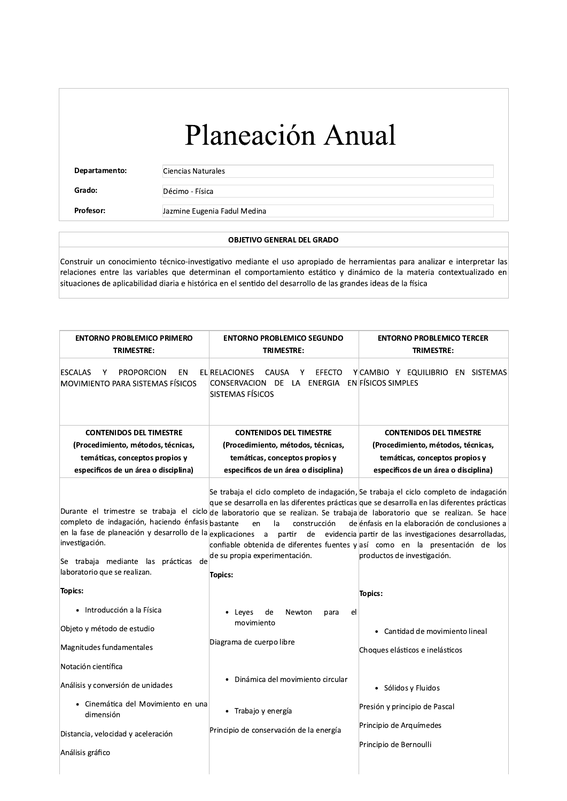Departamento:

Ciencias Naturales

Grado: Profesor: Décimo - Física

Jazmine Eugenia Fadul Medina

### **OBJETIVO GENERAL DEL GRADO**

Construir un conocimiento técnico-investigativo mediante el uso apropiado de herramientas para analizar e interpretar las relaciones entre las variables que determinan el comportamiento estático y dinámico de la materia contextualizado en situaciones de aplicabilidad diaria e histórica en el sentido del desarrollo de las grandes ideas de la física

| TRIMESTRE:                                                                                                                                                                                                                                                                                                                                                                                                                                                                              | TRIMESTRE:                                                                                                                                                                                                             |
|-----------------------------------------------------------------------------------------------------------------------------------------------------------------------------------------------------------------------------------------------------------------------------------------------------------------------------------------------------------------------------------------------------------------------------------------------------------------------------------------|------------------------------------------------------------------------------------------------------------------------------------------------------------------------------------------------------------------------|
| <b>CAUSA</b><br><b>EFECTO</b><br>Y<br>CONSERVACION DE LA ENERGIA ENFÍSICOS SIMPLES<br>SISTEMAS FÍSICOS                                                                                                                                                                                                                                                                                                                                                                                  | Y CAMBIO Y EQUILIBRIO EN SISTEMAS                                                                                                                                                                                      |
| <b>CONTENIDOS DEL TIMESTRE</b><br>(Procedimiento, métodos, técnicas,<br>temáticas, conceptos propios y<br>especificos de un área o disciplina)                                                                                                                                                                                                                                                                                                                                          | <b>CONTENIDOS DEL TIMESTRE</b><br>(Procedimiento, métodos, técnicas,<br>temáticas, conceptos propios y<br>especificos de un área o disciplina)                                                                         |
| Se trabaja el ciclo completo de indagación, Se trabaja el ciclo completo de indagación<br>que se desarrolla en las diferentes prácticas que se desarrolla en las diferentes prácticas<br>Durante el trimestre se trabaja el ciclo de laboratorio que se realizan. Se trabaja de laboratorio que se realizan. Se hace<br>construcción<br>en<br>la<br>partir<br>confiable obtenida de diferentes fuentes y así como en la presentación de los<br>de su propia experimentación.<br>Topics: | de énfasis en la elaboración de conclusiones a<br>de evidencia partir de las investigaciones desarrolladas,<br>productos de investigación.                                                                             |
|                                                                                                                                                                                                                                                                                                                                                                                                                                                                                         | Topics:                                                                                                                                                                                                                |
| Leyes<br>de<br>Newton<br>el<br>para<br>movimiento<br>Diagrama de cuerpo libre<br>Dinámica del movimiento circular<br>Trabajo y energía<br>Principio de conservación de la energía                                                                                                                                                                                                                                                                                                       | • Cantidad de movimiento lineal<br>Choques elásticos e inelásticos<br>· Sólidos y Fluidos<br>Presión y principio de Pascal<br>Principio de Arquímedes<br>Principio de Bernoulli                                        |
|                                                                                                                                                                                                                                                                                                                                                                                                                                                                                         | <b>EL RELACIONES</b><br>completo de indagación, haciendo énfasis bastante<br>en la fase de planeación y desarrollo de la explicaciones a<br>Se trabaja mediante las prácticas de<br>· Cinemática del Movimiento en una |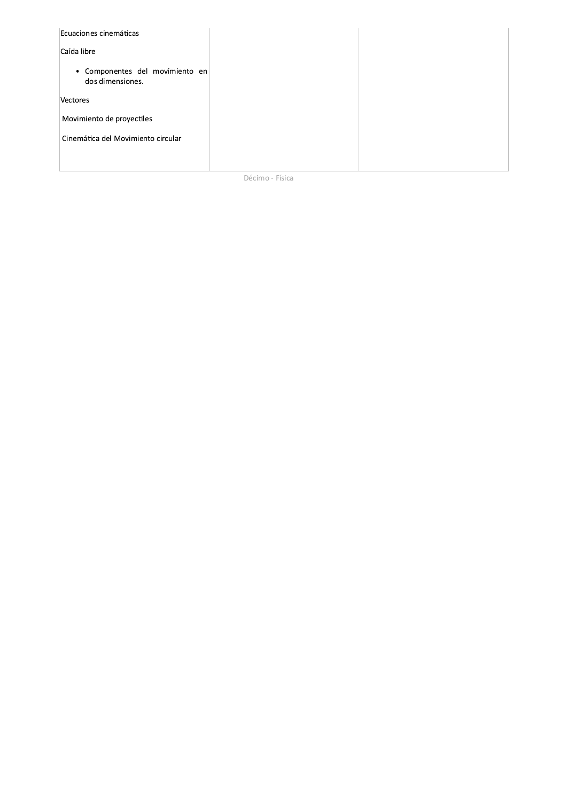| Ecuaciones cinemáticas                              |  |
|-----------------------------------------------------|--|
| Caída libre                                         |  |
| · Componentes del movimiento en<br>dos dimensiones. |  |
| Vectores                                            |  |
| Movimiento de proyectiles                           |  |
| Cinemática del Movimiento circular                  |  |
|                                                     |  |

Décimo - Física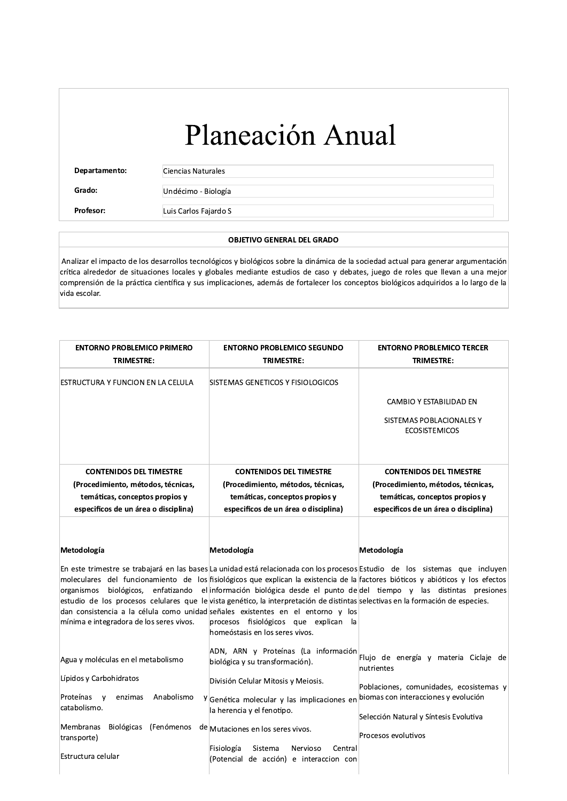$\overline{\phantom{a}}$ 

Departamento: Ciencias Naturales

Profesor: Luis Carlos Fajardo S

### OBJETIVO GENERAL DEL GRADO

**12 Altas (Departamento:**<br>
Grado: Ciencias Naturales<br>
Grado: Undécimo - Biología<br>
Profesor: Luis Carlos Fajardo S<br>
OBJETIVO G<br>
Ilizar el impacto de los desarrollos tecnológicos y biológico<br>
Ca alrededor de situaciones loca Grado:<br>
Profesor: Luis Carlos Fajardo S<br>
Luis Carlos Fajardo S<br>
OBJETIVO GENERAL DEL GRADO<br>
Analizar el impacto de los desarrollos tecnológicos y biológicos sobre la dinámica de la sociedad actual para generar argumentació Profesor:<br>
Luis Carlos Fajardo S<br> **OBJETIVO GENERAL DEL GRADO**<br>
Analizar el impacto de los desarrollos tecnológicos y biológicos sobre la dinámica de la sociedad actual para generar argumentación<br>
crítica alrededor de situ **Profesor:** Luis Carlos Fajardo S<br> **OBJETIVO GENERAL DEL GRADO**<br>
Analizar el impacto de los desarrollos tecnológicos y biológicos sobre la dinámica de la sociedad actual para generar argumentación<br>
crítica alrededor de sit vida escolar.

| TRIMESTRE:                                                                                                                                     | <b>ENTORNO PROBLEMICO SEGUNDO</b><br>TRIMESTRE:                                                                                                                                                                                                                                                                                                                                                                                                                                                                                                                                                                                                                                          | <b>ENTORNO PROBLEMICO TERCER</b><br>TRIMESTRE:                                                                                                 |
|------------------------------------------------------------------------------------------------------------------------------------------------|------------------------------------------------------------------------------------------------------------------------------------------------------------------------------------------------------------------------------------------------------------------------------------------------------------------------------------------------------------------------------------------------------------------------------------------------------------------------------------------------------------------------------------------------------------------------------------------------------------------------------------------------------------------------------------------|------------------------------------------------------------------------------------------------------------------------------------------------|
| ESTRUCTURA Y FUNCION EN LA CELULA                                                                                                              | <b>SISTEMAS GENETICOS Y FISIOLOGICOS</b>                                                                                                                                                                                                                                                                                                                                                                                                                                                                                                                                                                                                                                                 | CAMBIO Y ESTABILIDAD EN<br>SISTEMAS POBLACIONALES Y<br><b>ECOSISTEMICOS</b>                                                                    |
| <b>CONTENIDOS DEL TIMESTRE</b><br>(Procedimiento, métodos, técnicas,<br>temáticas, conceptos propios y<br>especificos de un área o disciplina) | <b>CONTENIDOS DEL TIMESTRE</b><br>(Procedimiento, métodos, técnicas,<br>temáticas, conceptos propios y<br>especificos de un área o disciplina)                                                                                                                                                                                                                                                                                                                                                                                                                                                                                                                                           | <b>CONTENIDOS DEL TIMESTRE</b><br>(Procedimiento, métodos, técnicas,<br>temáticas, conceptos propios y<br>especificos de un área o disciplina) |
| Metodología                                                                                                                                    | Metodología                                                                                                                                                                                                                                                                                                                                                                                                                                                                                                                                                                                                                                                                              | Metodología                                                                                                                                    |
|                                                                                                                                                |                                                                                                                                                                                                                                                                                                                                                                                                                                                                                                                                                                                                                                                                                          |                                                                                                                                                |
| mínima e integradora de los seres vivos.                                                                                                       | En este trimestre se trabajará en las bases La unidad está relacionada con los procesos Estudio de los sistemas que incluyen<br>moleculares del funcionamiento de los fisiológicos que explican la existencia de la factores bióticos y abióticos y los efectos<br>organismos biológicos, enfatizando el información-biológica-desde-el-punto-de del tiempo y las distintas presiones <br>estudio de los procesos celulares que le vista genético, la interpretación de distintas selectivas en la formación de especies.<br>dan consistencia a la célula como unidad señales existentes en el entorno y los<br>procesos fisiológicos que explican la<br>homeóstasis en los seres vivos. |                                                                                                                                                |
| Agua y moléculas en el metabolismo                                                                                                             | ADN, ARN y Proteínas (La información<br>biológica y su transformación).                                                                                                                                                                                                                                                                                                                                                                                                                                                                                                                                                                                                                  | Flujo de energía y materia Ciclaje de<br>nutrientes                                                                                            |
| Lípidos y Carbohidratos<br>Proteínas y<br>Anabolismo<br>enzimas<br>catabolismo.                                                                | División Celular Mitosis y Meiosis.<br><sup>y</sup> Genética molecular y las implicaciones en<br>la herencia y el fenotipo.                                                                                                                                                                                                                                                                                                                                                                                                                                                                                                                                                              | Poblaciones, comunidades, ecosistemas y<br>biomas con interacciones y evolución                                                                |
| Membranas Biológicas (Fenómenos de Mutaciones en los seres vivos.<br>transporte)                                                               | Fisiología<br>Sistema<br>Nervioso<br>Central                                                                                                                                                                                                                                                                                                                                                                                                                                                                                                                                                                                                                                             | Selección Natural y Síntesis Evolutiva<br>Procesos evolutivos                                                                                  |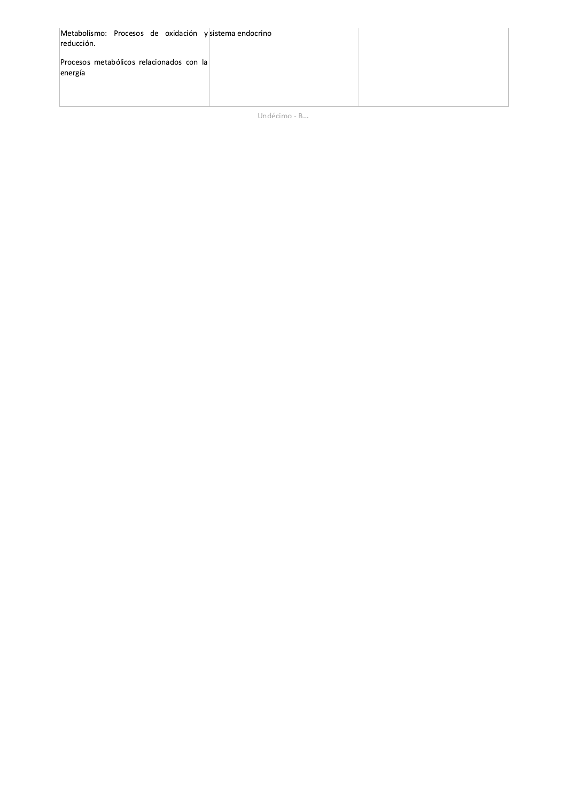| Metabolismo: Procesos de oxidación y sistema endocrino<br>reducción. |  |
|----------------------------------------------------------------------|--|
| Procesos metabólicos relacionados con la<br>energía                  |  |
|                                                                      |  |

Undécimo - B...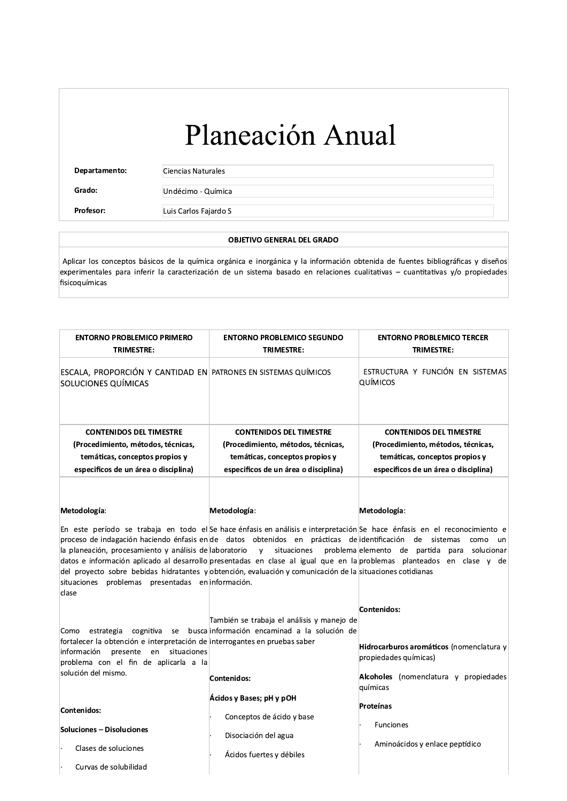Departamento: Ciencias Naturales

Grado:

Undécimo - Química

Profesor:

Luis Carlos Fajardo S

### **OBJETIVO GENERAL DEL GRADO**

Aplicar los conceptos básicos de la química orgánica e inorgánica y la información obtenida de fuentes bibliográficas y diseños experimentales para inferir la caracterización de un sistema basado en relaciones cualitativas - cuantitativas y/o propiedades fisicoquímicas

| <b>ENTORNO PROBLEMICO PRIMERO</b><br><b>TRIMESTRE:</b>                                                                                                                                             | <b>ENTORNO PROBLEMICO SEGUNDO</b><br><b>TRIMESTRE:</b>                                                                                                                                                                                                 | <b>ENTORNO PROBLEMICO TERCER</b><br><b>TRIMESTRE:</b>                                                                                                                                                                                                                                                                               |
|----------------------------------------------------------------------------------------------------------------------------------------------------------------------------------------------------|--------------------------------------------------------------------------------------------------------------------------------------------------------------------------------------------------------------------------------------------------------|-------------------------------------------------------------------------------------------------------------------------------------------------------------------------------------------------------------------------------------------------------------------------------------------------------------------------------------|
| ESCALA, PROPORCIÓN Y CANTIDAD EN PATRONES EN SISTEMAS QUÍMICOS<br>SOLUCIONES QUÍMICAS                                                                                                              |                                                                                                                                                                                                                                                        | ESTRUCTURA Y FUNCIÓN EN SISTEMAS<br><b>QUÍMICOS</b>                                                                                                                                                                                                                                                                                 |
| <b>CONTENIDOS DEL TIMESTRE</b><br>(Procedimiento, métodos, técnicas,<br>temáticas, conceptos propios y<br>especificos de un área o disciplina)                                                     | <b>CONTENIDOS DEL TIMESTRE</b><br>(Procedimiento, métodos, técnicas,<br>temáticas, conceptos propios y<br>especificos de un área o disciplina)                                                                                                         | <b>CONTENIDOS DEL TIMESTRE</b><br>(Procedimiento, métodos, técnicas,<br>temáticas, conceptos propios y<br>especificos de un área o disciplina)                                                                                                                                                                                      |
| Metodología:<br>la planeación, procesamiento y análisis de aboratorio<br>situaciones problemas presentadas en información.<br>clase                                                                | Metodología:<br>proceso de indagación haciendo énfasis en de datos obtenidos en prácticas de identificación de sistemas<br>y situaciones<br>del proyecto sobre bebidas hidratantes y obtención, evaluación y comunicación de la situaciones cotidianas | Metodología:<br>En este período se trabaja en todo el Se hace énfasis en análisis e interpretación Se hace énfasis en el reconocimiento e<br>como<br>un<br>problema elemento de partida<br>para solucionar<br>datos e información aplicado al desarrollo presentadas en clase al igual que en la problemas planteados en clase y de |
| Como<br>fortalecer la obtención e interpretación de interrogantes en pruebas saber<br>presente<br>información<br>en<br>situaciones<br>problema con el fin de aplicarla a la<br>solución del mismo. | También se trabaja el análisis y manejo de<br>estrategia cognitiva se busca información encaminad a la solución de<br>Contenidos:                                                                                                                      | Contenidos:<br>Hidrocarburos aromáticos (nomenclatura y<br>propiedades químicas)<br>Alcoholes (nomenclatura y propiedades<br>químicas                                                                                                                                                                                               |
| Contenidos:<br><b>Soluciones - Disoluciones</b><br>Clases de soluciones<br>Curvas de solubilidad                                                                                                   | Ácidos y Bases; pH y pOH<br>Conceptos de ácido y base<br>Disociación del agua<br>Ácidos fuertes y débiles                                                                                                                                              | Proteínas<br><b>Funciones</b><br>Aminoácidos y enlace peptídico                                                                                                                                                                                                                                                                     |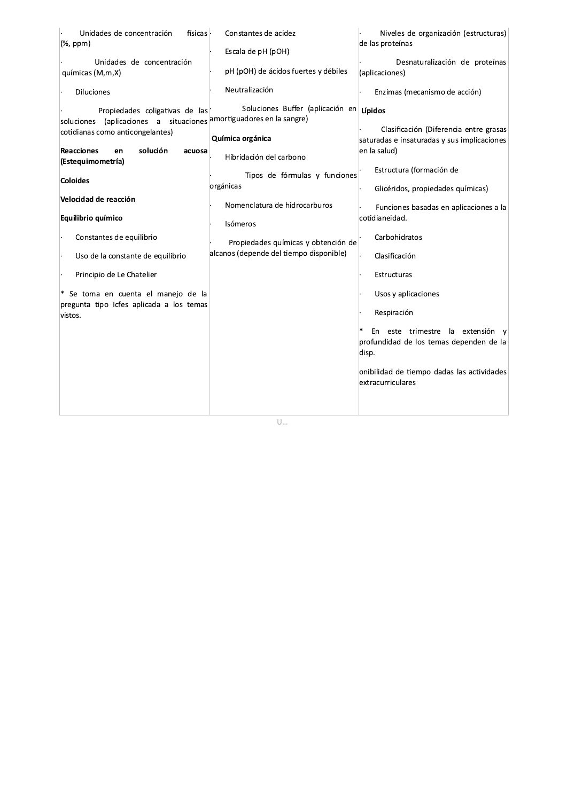| Unidades de concentración<br>físicas                                                                              | Constantes de acidez                                                           | Niveles de organización (estructuras)       |
|-------------------------------------------------------------------------------------------------------------------|--------------------------------------------------------------------------------|---------------------------------------------|
| (%, ppm)                                                                                                          | Escala de pH (pOH)                                                             | de las proteínas                            |
| Unidades de concentración                                                                                         |                                                                                | Desnaturalización de proteínas              |
| químicas (M,m,X)                                                                                                  | pH (pOH) de ácidos fuertes y débiles                                           | (aplicaciones)                              |
| <b>Diluciones</b>                                                                                                 | Neutralización                                                                 | Enzimas (mecanismo de acción)               |
| Propiedades coligativas de las<br>soluciones (aplicaciones a situaciones <sup> amortiguadores en la sangre)</sup> | Soluciones Buffer (aplicación en Lípidos                                       |                                             |
| cotidianas como anticongelantes)                                                                                  |                                                                                | Clasificación (Diferencia entre grasas      |
|                                                                                                                   | Química orgánica                                                               | saturadas e insaturadas y sus implicaciones |
| <b>Reacciones</b><br>solución<br>en<br>acuosa<br>(Estequimometría)                                                | Hibridación del carbono                                                        | en la salud)                                |
|                                                                                                                   |                                                                                | Estructura (formación de                    |
| <b>Coloides</b>                                                                                                   | Tipos de fórmulas y funciones<br>orgánicas                                     |                                             |
| Velocidad de reacción                                                                                             |                                                                                | Glicéridos, propiedades químicas)           |
|                                                                                                                   | Nomenclatura de hidrocarburos                                                  | Funciones basadas en aplicaciones a la      |
| Equilibrio químico                                                                                                | Isómeros                                                                       | cotidianeidad.                              |
| Constantes de equilibrio                                                                                          |                                                                                | Carbohidratos                               |
|                                                                                                                   | Propiedades químicas y obtención de<br>alcanos (depende del tiempo disponible) |                                             |
| Uso de la constante de equilibrio                                                                                 |                                                                                | Clasificación                               |
| Principio de Le Chatelier                                                                                         |                                                                                | Estructuras                                 |
| Se toma en cuenta el manejo de la                                                                                 |                                                                                |                                             |
| pregunta tipo Icfes aplicada a los temas                                                                          |                                                                                | Usos y aplicaciones                         |
| vistos.                                                                                                           |                                                                                | Respiración                                 |
|                                                                                                                   |                                                                                | En este trimestre la extensión y            |
|                                                                                                                   |                                                                                | profundidad de los temas dependen de la     |
|                                                                                                                   |                                                                                | disp.                                       |
|                                                                                                                   |                                                                                | onibilidad de tiempo dadas las actividades  |
|                                                                                                                   |                                                                                | extracurriculares                           |
|                                                                                                                   |                                                                                |                                             |
|                                                                                                                   |                                                                                |                                             |
|                                                                                                                   |                                                                                |                                             |

 $\overline{\bigcup_{\ldots}}$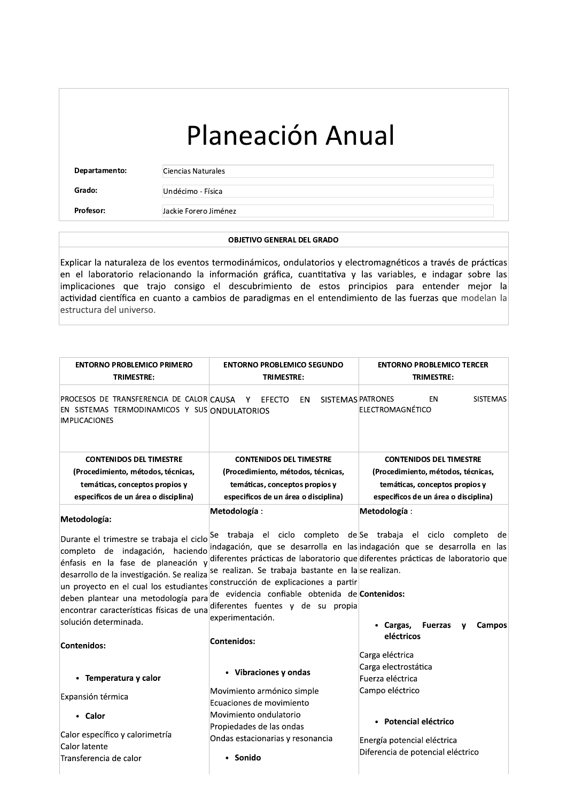| Planeación Anual |  |
|------------------|--|
|                  |  |

Departamento:

Ciencias Naturales

Grado: Profesor: Undécimo - Física Jackie Forero Jiménez

### **OBJETIVO GENERAL DEL GRADO**

Explicar la naturaleza de los eventos termodinámicos, ondulatorios y electromagnéticos a través de prácticas en el laboratorio relacionando la información gráfica, cuantitativa y las variables, e indagar sobre las implicaciones que trajo consigo el descubrimiento de estos principios para entender mejor la actividad científica en cuanto a cambios de paradigmas en el entendimiento de las fuerzas que modelan la estructura del universo.

| <b>ENTORNO PROBLEMICO PRIMERO</b><br><b>TRIMESTRE:</b>                                                                                                                                                                                                                                    | <b>ENTORNO PROBLEMICO SEGUNDO</b><br><b>TRIMESTRE:</b>                                                                                                                                                                                                                                                                                                                                                                            | <b>ENTORNO PROBLEMICO TERCER</b><br><b>TRIMESTRE:</b>                                                                                                                                                                           |
|-------------------------------------------------------------------------------------------------------------------------------------------------------------------------------------------------------------------------------------------------------------------------------------------|-----------------------------------------------------------------------------------------------------------------------------------------------------------------------------------------------------------------------------------------------------------------------------------------------------------------------------------------------------------------------------------------------------------------------------------|---------------------------------------------------------------------------------------------------------------------------------------------------------------------------------------------------------------------------------|
|                                                                                                                                                                                                                                                                                           |                                                                                                                                                                                                                                                                                                                                                                                                                                   |                                                                                                                                                                                                                                 |
| PROCESOS DE TRANSFERENCIA DE CALORICAUSA<br>EN SISTEMAS TERMODINAMICOS Y SUS ONDULATORIOS<br><b>IMPLICACIONES</b>                                                                                                                                                                         | SISTEMAS PATRONES<br>EFECTO<br>EN<br>– Y ⊹                                                                                                                                                                                                                                                                                                                                                                                        | ΕN<br><b>SISTEMAS</b><br>ELECTROMAGNÉTICO                                                                                                                                                                                       |
| <b>CONTENIDOS DEL TIMESTRE</b>                                                                                                                                                                                                                                                            | <b>CONTENIDOS DEL TIMESTRE</b>                                                                                                                                                                                                                                                                                                                                                                                                    | <b>CONTENIDOS DEL TIMESTRE</b>                                                                                                                                                                                                  |
| (Procedimiento, métodos, técnicas,                                                                                                                                                                                                                                                        | (Procedimiento, métodos, técnicas,                                                                                                                                                                                                                                                                                                                                                                                                | (Procedimiento, métodos, técnicas,                                                                                                                                                                                              |
| temáticas, conceptos propios y                                                                                                                                                                                                                                                            | temáticas, conceptos propios y                                                                                                                                                                                                                                                                                                                                                                                                    | temáticas, conceptos propios y                                                                                                                                                                                                  |
| especificos de un área o disciplina)                                                                                                                                                                                                                                                      | especificos de un área o disciplina)                                                                                                                                                                                                                                                                                                                                                                                              | especificos de un área o disciplina)                                                                                                                                                                                            |
| Metodología:                                                                                                                                                                                                                                                                              | Metodología:                                                                                                                                                                                                                                                                                                                                                                                                                      | Metodología:                                                                                                                                                                                                                    |
| completo de indagación, haciendo<br>énfasis en la fase de planeación y<br>desarrollo de la investigación. Se realiza<br>un proyecto en el cual los estudiantes<br>deben plantear una metodología para<br>encontrar características físicas de una<br>solución determinada.<br>Contenidos: | Durante el trimestre se trabaja el ciclo $\left  \begin{matrix} \text{Se} & \text{trabaja} & \text{el} & \text{ciclo} & \text{complexo} & \text{de} \end{matrix} \right $ se trabaja el ciclo completo<br>se realizan. Se trabaja bastante en la se realizan.<br>construcción de explicaciones a partir<br>de evidencia confiable obtenida de Contenidos:<br>diferentes fuentes y de su propia<br>experimentación.<br>Contenidos: | de<br>indagación, que se desarrolla en las indagación que se desarrolla en las<br>diferentes prácticas de laboratorio que diferentes prácticas de laboratorio que<br>• Cargas,<br><b>Fuerzas</b><br><b>Campos</b><br>eléctricos |
| • Temperatura y calor                                                                                                                                                                                                                                                                     | • Vibraciones y ondas                                                                                                                                                                                                                                                                                                                                                                                                             | Carga eléctrica<br>Carga electrostática<br>Fuerza eléctrica                                                                                                                                                                     |
| Expansión térmica                                                                                                                                                                                                                                                                         | Movimiento armónico simple                                                                                                                                                                                                                                                                                                                                                                                                        | Campo eléctrico                                                                                                                                                                                                                 |
|                                                                                                                                                                                                                                                                                           | Ecuaciones de movimiento                                                                                                                                                                                                                                                                                                                                                                                                          |                                                                                                                                                                                                                                 |
| • Calor                                                                                                                                                                                                                                                                                   | Movimiento ondulatorio<br>Propiedades de las ondas                                                                                                                                                                                                                                                                                                                                                                                | · Potencial eléctrico                                                                                                                                                                                                           |
| Calor específico y calorimetría                                                                                                                                                                                                                                                           | Ondas estacionarias y resonancia                                                                                                                                                                                                                                                                                                                                                                                                  |                                                                                                                                                                                                                                 |
| Calor latente                                                                                                                                                                                                                                                                             |                                                                                                                                                                                                                                                                                                                                                                                                                                   | Energía potencial eléctrica<br>Diferencia de potencial eléctrico                                                                                                                                                                |
| Transferencia de calor                                                                                                                                                                                                                                                                    | Sonido                                                                                                                                                                                                                                                                                                                                                                                                                            |                                                                                                                                                                                                                                 |